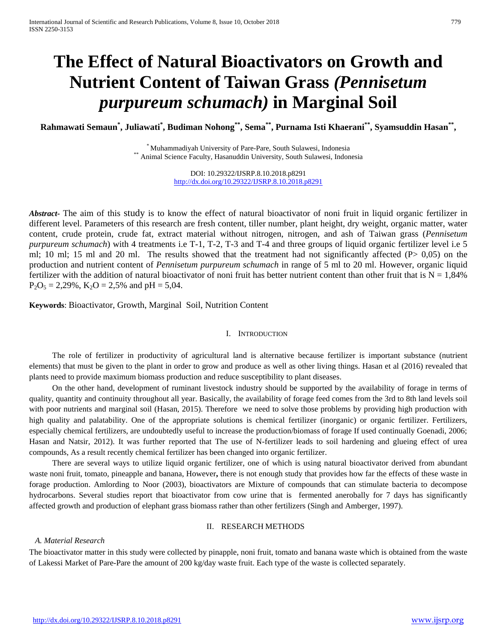# **The Effect of Natural Bioactivators on Growth and Nutrient Content of Taiwan Grass** *(Pennisetum purpureum schumach)* **in Marginal Soil**

**Rahmawati Semaun\* , Juliawati\* , Budiman Nohong\*\*, Sema\*\*, Purnama Isti Khaerani\*\*, Syamsuddin Hasan\*\*,** 

\* Muhammadiyah University of Pare-Pare, South Sulawesi, Indonesia \*\* Animal Science Faculty, Hasanuddin University, South Sulawesi, Indonesia

DOI: 10.29322/IJSRP.8.10.2018.p8291 <http://dx.doi.org/10.29322/IJSRP.8.10.2018.p8291>

*Abstract***-** The aim of this study is to know the effect of natural bioactivator of noni fruit in liquid organic fertilizer in different level. Parameters of this research are fresh content, tiller number, plant height, dry weight, organic matter, water content, crude protein, crude fat, extract material without nitrogen, nitrogen, and ash of Taiwan grass (*Pennisetum purpureum schumach*) with 4 treatments i.e T-1, T-2, T-3 and T-4 and three groups of liquid organic fertilizer level i.e 5 ml; 10 ml; 15 ml and 20 ml. The results showed that the treatment had not significantly affected (P> 0,05) on the production and nutrient content of *Pennisetum purpureum schumach* in range of 5 ml to 20 ml. However, organic liquid fertilizer with the addition of natural bioactivator of noni fruit has better nutrient content than other fruit that is  $N = 1,84\%$  $P_2O_5 = 2{,}29\%$ ,  $K_2O = 2{,}5\%$  and  $pH = 5{,}04$ .

**Keywords**: Bioactivator, Growth, Marginal Soil, Nutrition Content

## I. INTRODUCTION

The role of fertilizer in productivity of agricultural land is alternative because fertilizer is important substance (nutrient elements) that must be given to the plant in order to grow and produce as well as other living things. Hasan et al (2016) revealed that plants need to provide maximum biomass production and reduce susceptibility to plant diseases.

On the other hand, development of ruminant livestock industry should be supported by the availability of forage in terms of quality, quantity and continuity throughout all year. Basically, the availability of forage feed comes from the 3rd to 8th land levels soil with poor nutrients and marginal soil (Hasan, 2015). Therefore we need to solve those problems by providing high production with high quality and palatability. One of the appropriate solutions is chemical fertilizer (inorganic) or organic fertilizer. Fertilizers, especially chemical fertilizers, are undoubtedly useful to increase the production/biomass of forage If used continually Goenadi, 2006; Hasan and Natsir, 2012). It was further reported that The use of N-fertilizer leads to soil hardening and glueing effect of urea compounds, As a result recently chemical fertilizer has been changed into organic fertilizer.

There are several ways to utilize liquid organic fertilizer, one of which is using natural bioactivator derived from abundant waste noni fruit, tomato, pineapple and banana, However**,** there is not enough study that provides how far the effects of these waste in forage production. Amlording to Noor (2003), bioactivators are Mixture of compounds that can stimulate bacteria to decompose hydrocarbons. Several studies report that bioactivator from cow urine that is fermented anerobally for 7 days has significantly affected growth and production of elephant grass biomass rather than other fertilizers (Singh and Amberger, 1997).

### II. RESEARCH METHODS

# *A. Material Research*

The bioactivator matter in this study were collected by pinapple, noni fruit, tomato and banana waste which is obtained from the waste of Lakessi Market of Pare-Pare the amount of 200 kg/day waste fruit. Each type of the waste is collected separately.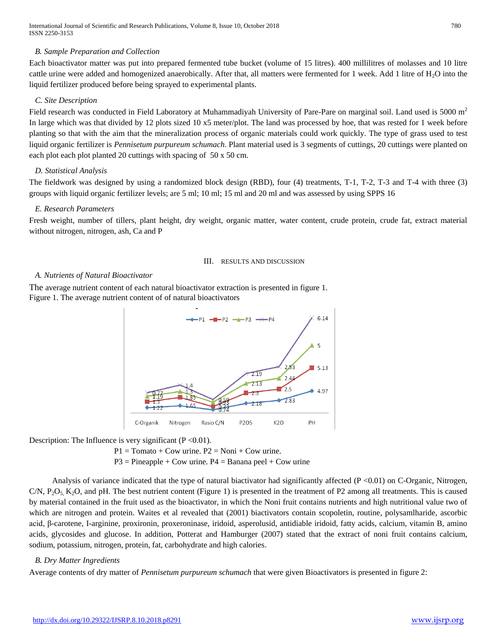# *B. Sample Preparation and Collection*

Each bioactivator matter was put into prepared fermented tube bucket (volume of 15 litres). 400 millilitres of molasses and 10 litre cattle urine were added and homogenized anaerobically. After that, all matters were fermented for 1 week. Add 1 litre of  $H_2O$  into the liquid fertilizer produced before being sprayed to experimental plants.

# *C. Site Description*

Field research was conducted in Field Laboratory at Muhammadiyah University of Pare-Pare on marginal soil. Land used is 5000 m<sup>2</sup> In large which was that divided by 12 plots sized 10 x5 meter/plot. The land was processed by hoe, that was rested for 1 week before planting so that with the aim that the mineralization process of organic materials could work quickly. The type of grass used to test liquid organic fertilizer is *Pennisetum purpureum schumach*. Plant material used is 3 segments of cuttings, 20 cuttings were planted on each plot each plot planted 20 cuttings with spacing of 50 x 50 cm.

# *D. Statistical Analysis*

The fieldwork was designed by using a randomized block design (RBD), four (4) treatments, T-1, T-2, T-3 and T-4 with three (3) groups with liquid organic fertilizer levels; are 5 ml; 10 ml; 15 ml and 20 ml and was assessed by using SPPS 16

## *E. Research Parameters*

Fresh weight, number of tillers, plant height, dry weight, organic matter, water content, crude protein, crude fat, extract material without nitrogen, nitrogen, ash, Ca and P

### III. RESULTS AND DISCUSSION

## *A. Nutrients of Natural Bioactivator*

The average nutrient content of each natural bioactivator extraction is presented in figure 1. Figure 1. The average nutrient content of of natural bioactivators



Description: The Influence is very significant  $(P < 0.01)$ .

 $P1 = Tomato + Cow$  urine.  $P2 = Noni + Cow$  urine.

 $P3 = \text{Pineapple} + \text{Cow urine.}$   $P4 = \text{Banana peel} + \text{Cow urine.}$ 

Analysis of variance indicated that the type of natural biactivator had significantly affected  $(P < 0.01)$  on C-Organic, Nitrogen, C/N,  $P_2O_5$ ,  $K_2O$ , and pH. The best nutrient content (Figure 1) is presented in the treatment of P2 among all treatments. This is caused by material contained in the fruit used as the bioactivator, in which the Noni fruit contains nutrients and high nutritional value two of which are nitrogen and protein. Waites et al revealed that (2001) biactivators contain scopoletin, routine, polysamlharide, ascorbic acid, β-carotene, I-arginine, proxironin, proxeroninase, iridoid, asperolusid, antidiable iridoid, fatty acids, calcium, vitamin B, amino acids, glycosides and glucose. In addition, Potterat and Hamburger (2007) stated that the extract of noni fruit contains calcium, sodium, potassium, nitrogen, protein, fat, carbohydrate and high calories.

# *B. Dry Matter Ingredients*

Average contents of dry matter of *Pennisetum purpureum schumach* that were given Bioactivators is presented in figure 2: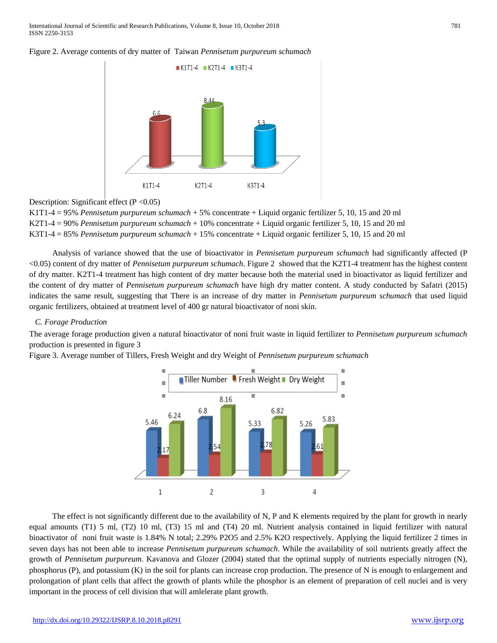



Description: Significant effect ( $P < 0.05$ )

K1T1-4 = 95% *Pennisetum purpureum schumach* + 5% concentrate + Liquid organic fertilizer 5, 10, 15 and 20 ml K2T1-4 = 90% *Pennisetum purpureum schumach* + 10% concentrate + Liquid organic fertilizer 5, 10, 15 and 20 ml K3T1-4 = 85% *Pennisetum purpureum schumach* + 15% concentrate + Liquid organic fertilizer 5, 10, 15 and 20 ml

Analysis of variance showed that the use of bioactivator in *Pennisetum purpureum schumach* had significantly affected (P <0.05) content of dry matter of *Pennisetum purpureum schumach*. Figure 2 showed that the K2T1-4 treatment has the highest content of dry matter. K2T1-4 treatment has high content of dry matter because both the material used in bioactivator as liquid fertilizer and the content of dry matter of *Pennisetum purpureum schumach* have high dry matter content. A study conducted by Safatri (2015) indicates the same result, suggesting that There is an increase of dry matter in *Pennisetum purpureum schumach* that used liquid organic fertilizers, obtained at treatment level of 400 gr natural bioactivator of noni skin.

### *C. Forage Production*

The average forage production given a natural bioactivator of noni fruit waste in liquid fertilizer to *Pennisetum purpureum schumach* production is presented in figure 3

Figure 3. Average number of Tillers, Fresh Weight and dry Weight of *Pennisetum purpureum schumach*



The effect is not significantly different due to the availability of N, P and K elements required by the plant for growth in nearly equal amounts (T1) 5 ml, (T2) 10 ml, (T3) 15 ml and (T4) 20 ml. Nutrient analysis contained in liquid fertilizer with natural bioactivator of noni fruit waste is 1.84% N total; 2.29% P2O5 and 2.5% K2O respectively. Applying the liquid fertilizer 2 times in seven days has not been able to increase *Pennisetum purpureum schumach*. While the availability of soil nutrients greatly affect the growth of *Pennisetum purpureum*. Kavanova and Glozer (2004) stated that the optimal supply of nutrients especially nitrogen (N), phosphorus (P), and potassium (K) in the soil for plants can increase crop production. The presence of N is enough to enlargement and prolongation of plant cells that affect the growth of plants while the phosphor is an element of preparation of cell nuclei and is very important in the process of cell division that will amlelerate plant growth.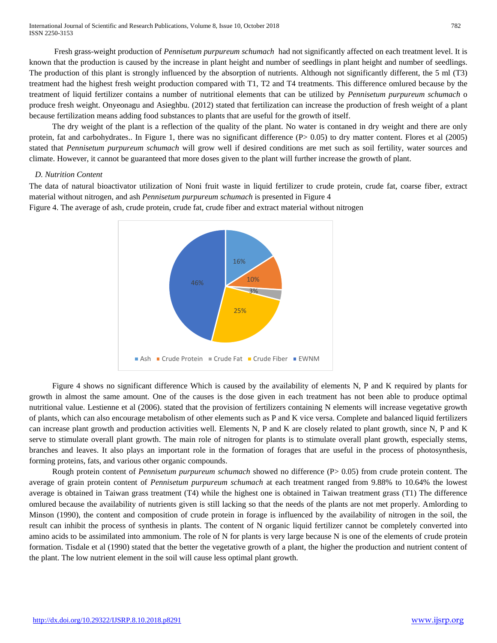International Journal of Scientific and Research Publications, Volume 8, Issue 10, October 2018 782 ISSN 2250-3153

Fresh grass-weight production of *Pennisetum purpureum schumach* had not significantly affected on each treatment level. It is known that the production is caused by the increase in plant height and number of seedlings in plant height and number of seedlings. The production of this plant is strongly influenced by the absorption of nutrients. Although not significantly different, the 5 ml (T3) treatment had the highest fresh weight production compared with T1, T2 and T4 treatments. This difference omlured because by the treatment of liquid fertilizer contains a number of nutritional elements that can be utilized by *Pennisetum purpureum schumach* o produce fresh weight. Onyeonagu and Asieghbu. (2012) stated that fertilization can increase the production of fresh weight of a plant because fertilization means adding food substances to plants that are useful for the growth of itself.

The dry weight of the plant is a reflection of the quality of the plant. No water is contaned in dry weight and there are only protein, fat and carbohydrates.. In Figure 1, there was no significant difference (P> 0.05) to dry matter content. Flores et al (2005) stated that *Pennisetum purpureum schumach* will grow well if desired conditions are met such as soil fertility, water sources and climate. However, it cannot be guaranteed that more doses given to the plant will further increase the growth of plant.

### *D. Nutrition Content*

The data of natural bioactivator utilization of Noni fruit waste in liquid fertilizer to crude protein, crude fat, coarse fiber, extract material without nitrogen, and ash *Pennisetum purpureum schumach* is presented in Figure 4

Figure 4. The average of ash, crude protein, crude fat, crude fiber and extract material without nitrogen



Figure 4 shows no significant difference Which is caused by the availability of elements N, P and K required by plants for growth in almost the same amount. One of the causes is the dose given in each treatment has not been able to produce optimal nutritional value. Lestienne et al (2006). stated that the provision of fertilizers containing N elements will increase vegetative growth of plants, which can also encourage metabolism of other elements such as P and K vice versa. Complete and balanced liquid fertilizers can increase plant growth and production activities well. Elements N, P and K are closely related to plant growth, since N, P and K serve to stimulate overall plant growth. The main role of nitrogen for plants is to stimulate overall plant growth, especially stems, branches and leaves. It also plays an important role in the formation of forages that are useful in the process of photosynthesis, forming proteins, fats, and various other organic compounds.

Rough protein content of *Pennisetum purpureum schumach* showed no difference (P> 0.05) from crude protein content. The average of grain protein content of *Pennisetum purpureum schumach* at each treatment ranged from 9.88% to 10.64% the lowest average is obtained in Taiwan grass treatment (T4) while the highest one is obtained in Taiwan treatment grass (T1) The difference omlured because the availability of nutrients given is still lacking so that the needs of the plants are not met properly. Amlording to Minson (1990), the content and composition of crude protein in forage is influenced by the availability of nitrogen in the soil, the result can inhibit the process of synthesis in plants. The content of N organic liquid fertilizer cannot be completely converted into amino acids to be assimilated into ammonium. The role of N for plants is very large because N is one of the elements of crude protein formation. Tisdale et al (1990) stated that the better the vegetative growth of a plant, the higher the production and nutrient content of the plant. The low nutrient element in the soil will cause less optimal plant growth.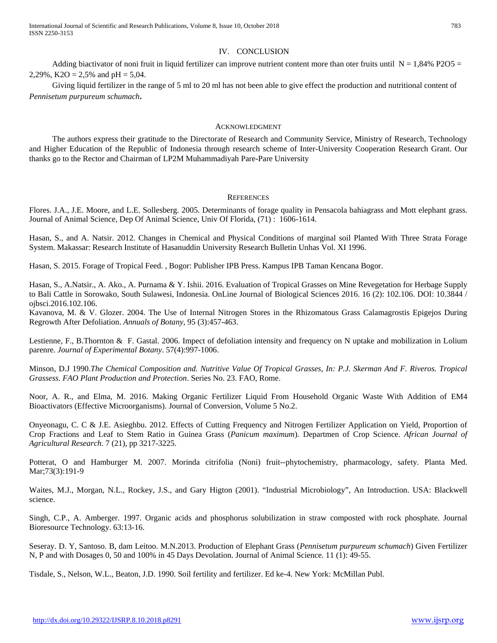International Journal of Scientific and Research Publications, Volume 8, Issue 10, October 2018 783 ISSN 2250-3153

#### IV. CONCLUSION

Adding biactivator of noni fruit in liquid fertilizer can improve nutrient content more than oter fruits until  $N = 1,84\%$  P2O5 = 2,29%, K2O = 2,5% and  $pH = 5.04$ .

Giving liquid fertilizer in the range of 5 ml to 20 ml has not been able to give effect the production and nutritional content of *Pennisetum purpureum schumach***.**

#### ACKNOWLEDGMENT

The authors express their gratitude to the Directorate of Research and Community Service, Ministry of Research, Technology and Higher Education of the Republic of Indonesia through research scheme of Inter-University Cooperation Research Grant. Our thanks go to the Rector and Chairman of LP2M Muhammadiyah Pare-Pare University

#### **REFERENCES**

Flores. J.A., J.E. Moore, and L.E. Sollesberg. 2005. Determinants of forage quality in Pensacola bahiagrass and Mott elephant grass. Journal of Animal Science, Dep Of Animal Science, Univ Of Florida, (71) : 1606-1614.

Hasan, S., and A. Natsir. 2012. Changes in Chemical and Physical Conditions of marginal soil Planted With Three Strata Forage System. Makassar: Research Institute of Hasanuddin University Research Bulletin Unhas Vol. XI 1996.

Hasan, S. 2015. Forage of Tropical Feed. , Bogor: Publisher IPB Press. Kampus IPB Taman Kencana Bogor.

Hasan, S., A.Natsir., A. Ako., A. Purnama & Y. Ishii. 2016. Evaluation of Tropical Grasses on Mine Revegetation for Herbage Supply to Bali Cattle in Sorowako, South Sulawesi, Indonesia. OnLine Journal of Biological Sciences 2016. 16 (2): 102.106. DOI: 10.3844 / ojbsci.2016.102.106.

Kavanova, M. & V. Glozer. 2004. The Use of Internal Nitrogen Stores in the Rhizomatous Grass Calamagrostis Epigejos During Regrowth After Defoliation. *Annuals of Botany*, 95 (3):457-463.

Lestienne, F., B.Thornton & F. Gastal. 2006. Impect of defoliation intensity and frequency on N uptake and mobilization in Lolium parenre. *Journal of Experimental Botany*. 57(4):997-1006.

Minson, D.J 1990.*The Chemical Composition and. Nutritive Value Of Tropical Grasses, In: P.J. Skerman And F. Riveros. Tropical Grassess. FAO Plant Production and Protection*. Series No. 23. FAO, Rome.

Noor, A. R., and Elma, M. 2016. Making Organic Fertilizer Liquid From Household Organic Waste With Addition of EM4 Bioactivators (Effective Microorganisms). Journal of Conversion, Volume 5 No.2.

Onyeonagu, C. C & J.E. Asieghbu. 2012. Effects of Cutting Frequency and Nitrogen Fertilizer Application on Yield, Proportion of Crop Fractions and Leaf to Stem Ratio in Guinea Grass (*Panicum maximum*). Departmen of Crop Science. *African Journal of Agricultural Research*. 7 (21), pp 3217-3225.

Potterat, O and Hamburger M. 2007. Morinda citrifolia (Noni) fruit--phytochemistry, pharmacology, safety. Planta Med. Mar;73(3):191-9

Waites, M.J., Morgan, N.L., Rockey, J.S., and Gary Higton (2001). "Industrial Microbiology", An Introduction. USA: Blackwell science.

Singh, C.P., A. Amberger. 1997. Organic acids and phosphorus solubilization in straw composted with rock phosphate. Journal Bioresource Technology. 63:13-16.

Seseray. D. Y, Santoso. B, dam Leitoo. M.N.2013. Production of Elephant Grass (*Pennisetum purpureum schumach*) Given Fertilizer N, P and with Dosages 0, 50 and 100% in 45 Days Devolation. Journal of Animal Science. 11 (1): 49-55.

Tisdale, S., Nelson, W.L., Beaton, J.D. 1990. Soil fertility and fertilizer. Ed ke-4. New York: McMillan Publ.